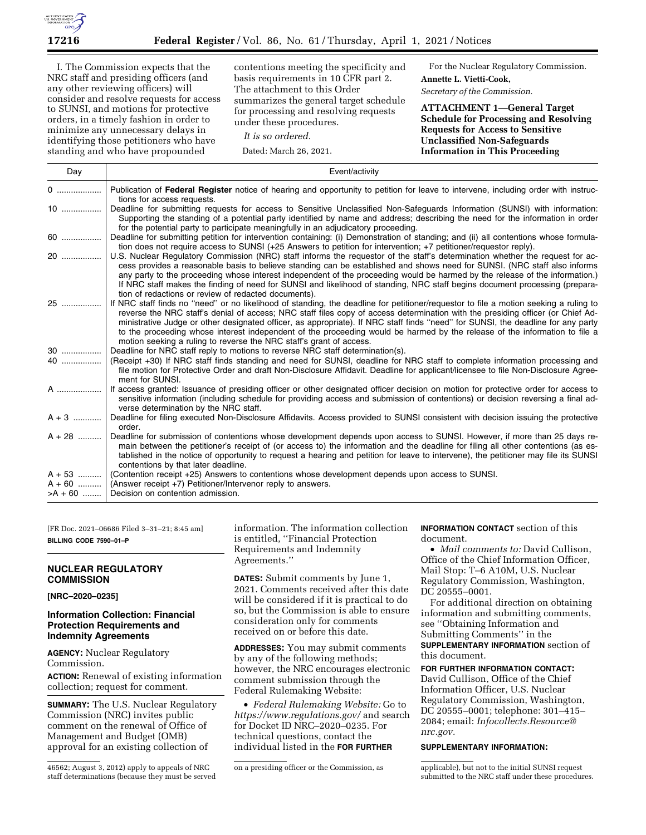

I. The Commission expects that the NRC staff and presiding officers (and any other reviewing officers) will consider and resolve requests for access to SUNSI, and motions for protective orders, in a timely fashion in order to minimize any unnecessary delays in identifying those petitioners who have standing and who have propounded

contentions meeting the specificity and basis requirements in 10 CFR part 2. The attachment to this Order summarizes the general target schedule for processing and resolving requests under these procedures.

*It is so ordered.* 

Dated: March 26, 2021.

For the Nuclear Regulatory Commission. **Annette L. Vietti-Cook,**  *Secretary of the Commission.* 

**ATTACHMENT 1—General Target Schedule for Processing and Resolving Requests for Access to Sensitive Unclassified Non-Safeguards Information in This Proceeding** 

| Day                     | Event/activity                                                                                                                                                                                                                                                                                                                                                                                                                                                                                                                                                                                                    |
|-------------------------|-------------------------------------------------------------------------------------------------------------------------------------------------------------------------------------------------------------------------------------------------------------------------------------------------------------------------------------------------------------------------------------------------------------------------------------------------------------------------------------------------------------------------------------------------------------------------------------------------------------------|
| 0                       | Publication of Federal Register notice of hearing and opportunity to petition for leave to intervene, including order with instruc-<br>tions for access requests.                                                                                                                                                                                                                                                                                                                                                                                                                                                 |
| $10$                    | Deadline for submitting requests for access to Sensitive Unclassified Non-Safeguards Information (SUNSI) with information:<br>Supporting the standing of a potential party identified by name and address; describing the need for the information in order<br>for the potential party to participate meaningfully in an adjudicatory proceeding.                                                                                                                                                                                                                                                                 |
| 60                      | Deadline for submitting petition for intervention containing: (i) Demonstration of standing; and (ii) all contentions whose formula-<br>tion does not require access to SUNSI (+25 Answers to petition for intervention; +7 petitioner/requestor reply).                                                                                                                                                                                                                                                                                                                                                          |
| 20                      | U.S. Nuclear Regulatory Commission (NRC) staff informs the requestor of the staff's determination whether the request for ac-<br>cess provides a reasonable basis to believe standing can be established and shows need for SUNSI. (NRC staff also informs<br>any party to the proceeding whose interest independent of the proceeding would be harmed by the release of the information.)<br>If NRC staff makes the finding of need for SUNSI and likelihood of standing, NRC staff begins document processing (prepara-<br>tion of redactions or review of redacted documents).                                 |
| 25                      | If NRC staff finds no "need" or no likelihood of standing, the deadline for petitioner/requestor to file a motion seeking a ruling to<br>reverse the NRC staff's denial of access; NRC staff files copy of access determination with the presiding officer (or Chief Ad-<br>ministrative Judge or other designated officer, as appropriate). If NRC staff finds "need" for SUNSI, the deadline for any party<br>to the proceeding whose interest independent of the proceeding would be harmed by the release of the information to file a<br>motion seeking a ruling to reverse the NRC staff's grant of access. |
| $30$                    | Deadline for NRC staff reply to motions to reverse NRC staff determination(s).                                                                                                                                                                                                                                                                                                                                                                                                                                                                                                                                    |
| 40                      | (Receipt +30) If NRC staff finds standing and need for SUNSI, deadline for NRC staff to complete information processing and<br>file motion for Protective Order and draft Non-Disclosure Affidavit. Deadline for applicant/licensee to file Non-Disclosure Agree-<br>ment for SUNSI.                                                                                                                                                                                                                                                                                                                              |
| A                       | If access granted: Issuance of presiding officer or other designated officer decision on motion for protective order for access to<br>sensitive information (including schedule for providing access and submission of contentions) or decision reversing a final ad-<br>verse determination by the NRC staff.                                                                                                                                                                                                                                                                                                    |
| $A + 3$                 | Deadline for filing executed Non-Disclosure Affidavits. Access provided to SUNSI consistent with decision issuing the protective<br>order.                                                                                                                                                                                                                                                                                                                                                                                                                                                                        |
| $A + 28$                | Deadline for submission of contentions whose development depends upon access to SUNSI. However, if more than 25 days re-<br>main between the petitioner's receipt of (or access to) the information and the deadline for filing all other contentions (as es-<br>tablished in the notice of opportunity to request a hearing and petition for leave to intervene), the petitioner may file its SUNSI<br>contentions by that later deadline.                                                                                                                                                                       |
| $A + 53$                | (Contention receipt +25) Answers to contentions whose development depends upon access to SUNSI.                                                                                                                                                                                                                                                                                                                                                                                                                                                                                                                   |
| A + 60   <br>$>$ A + 60 | (Answer receipt +7) Petitioner/Intervenor reply to answers.<br>Decision on contention admission.                                                                                                                                                                                                                                                                                                                                                                                                                                                                                                                  |

[FR Doc. 2021–06686 Filed 3–31–21; 8:45 am] **BILLING CODE 7590–01–P** 

### **NUCLEAR REGULATORY COMMISSION**

**[NRC–2020–0235]** 

# **Information Collection: Financial Protection Requirements and Indemnity Agreements**

**AGENCY:** Nuclear Regulatory Commission.

**ACTION:** Renewal of existing information collection; request for comment.

**SUMMARY:** The U.S. Nuclear Regulatory Commission (NRC) invites public comment on the renewal of Office of Management and Budget (OMB) approval for an existing collection of

information. The information collection is entitled, ''Financial Protection Requirements and Indemnity Agreements.''

**DATES:** Submit comments by June 1, 2021. Comments received after this date will be considered if it is practical to do so, but the Commission is able to ensure consideration only for comments received on or before this date.

**ADDRESSES:** You may submit comments by any of the following methods; however, the NRC encourages electronic comment submission through the Federal Rulemaking Website:

• *Federal Rulemaking Website:* Go to *<https://www.regulations.gov/>*and search for Docket ID NRC–2020–0235. For technical questions, contact the individual listed in the **FOR FURTHER**

# **INFORMATION CONTACT** section of this document.

• *Mail comments to:* David Cullison, Office of the Chief Information Officer, Mail Stop: T–6 A10M, U.S. Nuclear Regulatory Commission, Washington, DC 20555–0001.

For additional direction on obtaining information and submitting comments, see ''Obtaining Information and Submitting Comments'' in the **SUPPLEMENTARY INFORMATION** section of this document.

**FOR FURTHER INFORMATION CONTACT:**  David Cullison, Office of the Chief Information Officer, U.S. Nuclear Regulatory Commission, Washington, DC 20555–0001; telephone: 301–415– 2084; email: *[Infocollects.Resource@](mailto:Infocollects.Resource@nrc.gov)*

# **SUPPLEMENTARY INFORMATION:**

*[nrc.gov.](mailto:Infocollects.Resource@nrc.gov)* 

<sup>46562;</sup> August 3, 2012) apply to appeals of NRC staff determinations (because they must be served

on a presiding officer or the Commission, as applicable), but not to the initial SUNSI request submitted to the NRC staff under these procedures.